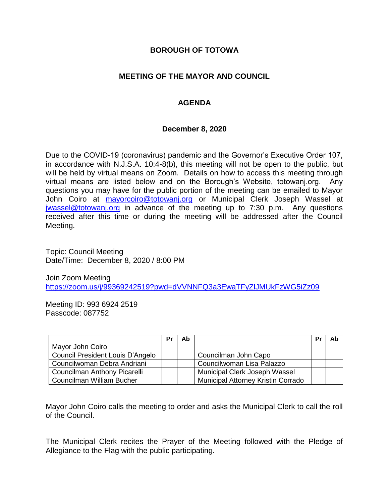#### **BOROUGH OF TOTOWA**

#### **MEETING OF THE MAYOR AND COUNCIL**

### **AGENDA**

#### **December 8, 2020**

Due to the COVID-19 (coronavirus) pandemic and the Governor's Executive Order 107, in accordance with N.J.S.A. 10:4-8(b), this meeting will not be open to the public, but will be held by virtual means on Zoom. Details on how to access this meeting through virtual means are listed below and on the Borough's Website, totowanj.org. Any questions you may have for the public portion of the meeting can be emailed to Mayor John Coiro at [mayorcoiro@totowanj.org](mailto:mayorcoiro@totowanj.org) or Municipal Clerk Joseph Wassel at [jwassel@totowanj.org](mailto:jwassel@totowanj.org) in advance of the meeting up to 7:30 p.m. Any questions received after this time or during the meeting will be addressed after the Council Meeting.

Topic: Council Meeting Date/Time: December 8, 2020 / 8:00 PM

Join Zoom Meeting <https://zoom.us/j/99369242519?pwd=dVVNNFQ3a3EwaTFyZlJMUkFzWG5iZz09>

Meeting ID: 993 6924 2519 Passcode: 087752

|                                  | Pr | Ab |                                           | Pr | Ab |
|----------------------------------|----|----|-------------------------------------------|----|----|
| Mayor John Coiro                 |    |    |                                           |    |    |
| Council President Louis D'Angelo |    |    | Councilman John Capo                      |    |    |
| Councilwoman Debra Andriani      |    |    | Councilwoman Lisa Palazzo                 |    |    |
| Councilman Anthony Picarelli     |    |    | Municipal Clerk Joseph Wassel             |    |    |
| Councilman William Bucher        |    |    | <b>Municipal Attorney Kristin Corrado</b> |    |    |

Mayor John Coiro calls the meeting to order and asks the Municipal Clerk to call the roll of the Council.

The Municipal Clerk recites the Prayer of the Meeting followed with the Pledge of Allegiance to the Flag with the public participating.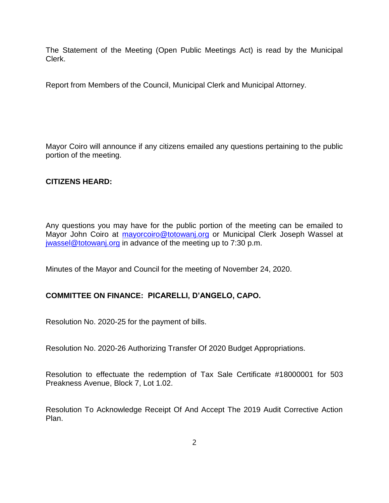The Statement of the Meeting (Open Public Meetings Act) is read by the Municipal Clerk.

Report from Members of the Council, Municipal Clerk and Municipal Attorney.

Mayor Coiro will announce if any citizens emailed any questions pertaining to the public portion of the meeting.

#### **CITIZENS HEARD:**

Any questions you may have for the public portion of the meeting can be emailed to Mayor John Coiro at [mayorcoiro@totowanj.org](mailto:mayorcoiro@totowanj.org) or Municipal Clerk Joseph Wassel at [jwassel@totowanj.org](mailto:jwassel@totowanj.org) in advance of the meeting up to 7:30 p.m.

Minutes of the Mayor and Council for the meeting of November 24, 2020.

## **COMMITTEE ON FINANCE: PICARELLI, D'ANGELO, CAPO.**

Resolution No. 2020-25 for the payment of bills.

Resolution No. 2020-26 Authorizing Transfer Of 2020 Budget Appropriations.

Resolution to effectuate the redemption of Tax Sale Certificate #18000001 for 503 Preakness Avenue, Block 7, Lot 1.02.

Resolution To Acknowledge Receipt Of And Accept The 2019 Audit Corrective Action Plan.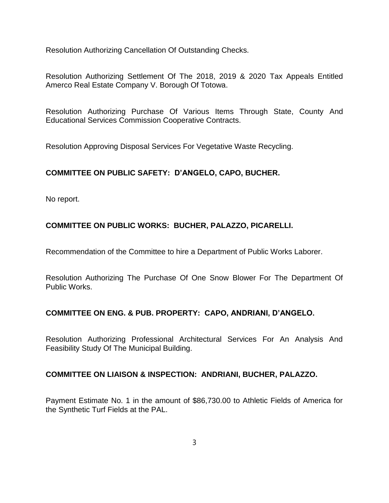Resolution Authorizing Cancellation Of Outstanding Checks.

Resolution Authorizing Settlement Of The 2018, 2019 & 2020 Tax Appeals Entitled Amerco Real Estate Company V. Borough Of Totowa.

Resolution Authorizing Purchase Of Various Items Through State, County And Educational Services Commission Cooperative Contracts.

Resolution Approving Disposal Services For Vegetative Waste Recycling.

## **COMMITTEE ON PUBLIC SAFETY: D'ANGELO, CAPO, BUCHER.**

No report.

# **COMMITTEE ON PUBLIC WORKS: BUCHER, PALAZZO, PICARELLI.**

Recommendation of the Committee to hire a Department of Public Works Laborer.

Resolution Authorizing The Purchase Of One Snow Blower For The Department Of Public Works.

## **COMMITTEE ON ENG. & PUB. PROPERTY: CAPO, ANDRIANI, D'ANGELO.**

Resolution Authorizing Professional Architectural Services For An Analysis And Feasibility Study Of The Municipal Building.

#### **COMMITTEE ON LIAISON & INSPECTION: ANDRIANI, BUCHER, PALAZZO.**

Payment Estimate No. 1 in the amount of \$86,730.00 to Athletic Fields of America for the Synthetic Turf Fields at the PAL.